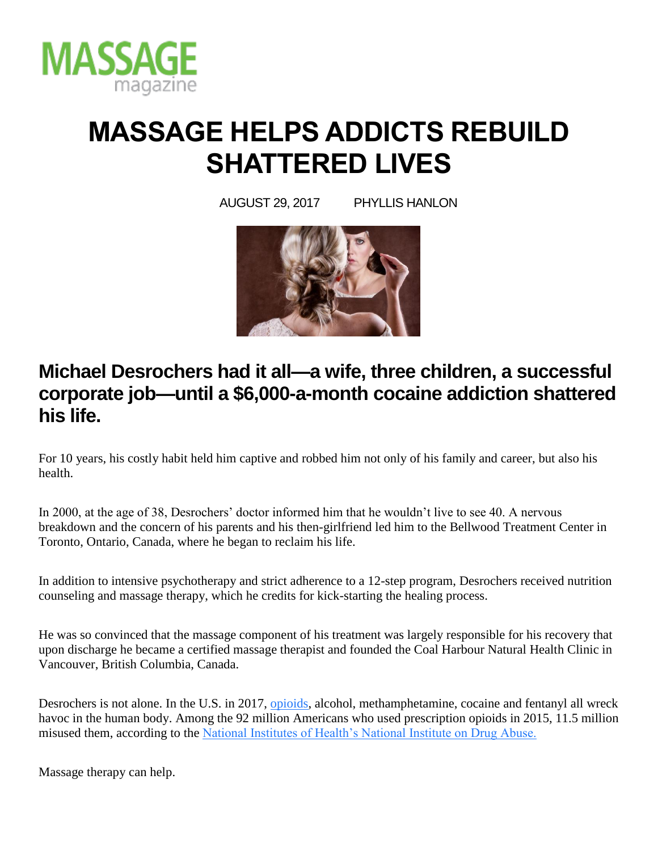

# **MASSAGE HELPS ADDICTS REBUILD SHATTERED LIVES**

AUGUST 29, 2017 PHYLLIS HANLON



# **Michael Desrochers had it all—a wife, three children, a successful corporate job—until a \$6,000-a-month cocaine addiction shattered his life.**

For 10 years, his costly habit held him captive and robbed him not only of his family and career, but also his health.

In 2000, at the age of 38, Desrochers' doctor informed him that he wouldn't live to see 40. A nervous breakdown and the concern of his parents and his then-girlfriend led him to the Bellwood Treatment Center in Toronto, Ontario, Canada, where he began to reclaim his life.

In addition to intensive psychotherapy and strict adherence to a 12-step program, Desrochers received nutrition counseling and massage therapy, which he credits for kick-starting the healing process.

He was so convinced that the massage component of his treatment was largely responsible for his recovery that upon discharge he became a certified massage therapist and founded the Coal Harbour Natural Health Clinic in Vancouver, British Columbia, Canada.

Desrochers is not alone. In the U.S. in 2017, [opioids,](https://www.massagemag.com/opioid-epidemic-massage-relief-85222/) alcohol, methamphetamine, cocaine and fentanyl all wreck havoc in the human body. Among the 92 million Americans who used prescription opioids in 2015, 11.5 million misused them, according to the [National Institutes of Health's National Institute on Drug Abuse.](https://www.drugabuse.gov/news-events/news-releases/2017/07/pain-relief-most-reported-reason-misuse-opioid-pain-relievers)

Massage therapy can help.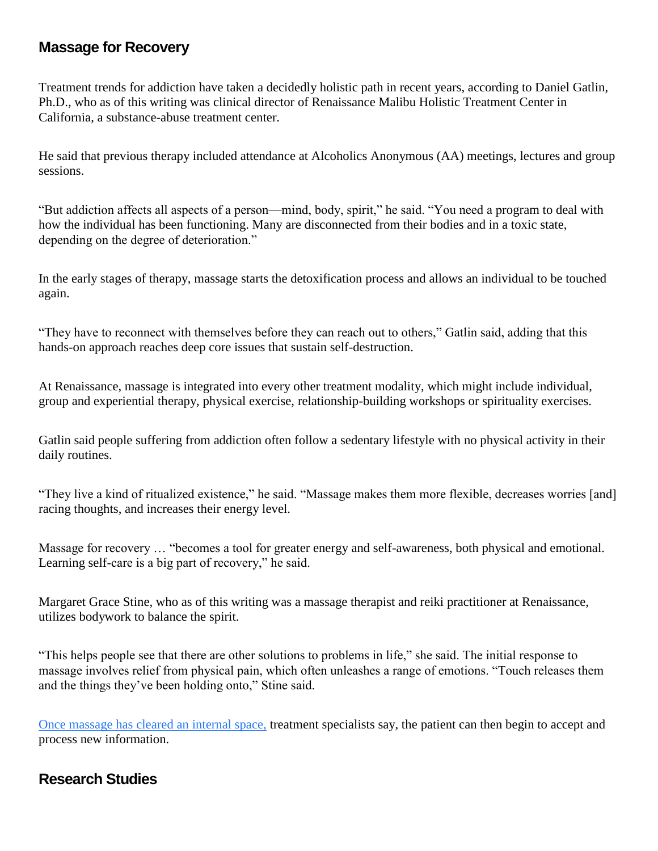#### **Massage for Recovery**

Treatment trends for addiction have taken a decidedly holistic path in recent years, according to Daniel Gatlin, Ph.D., who as of this writing was clinical director of Renaissance Malibu Holistic Treatment Center in California, a substance-abuse treatment center.

He said that previous therapy included attendance at Alcoholics Anonymous (AA) meetings, lectures and group sessions.

"But addiction affects all aspects of a person—mind, body, spirit," he said. "You need a program to deal with how the individual has been functioning. Many are disconnected from their bodies and in a toxic state, depending on the degree of deterioration."

In the early stages of therapy, massage starts the detoxification process and allows an individual to be touched again.

"They have to reconnect with themselves before they can reach out to others," Gatlin said, adding that this hands-on approach reaches deep core issues that sustain self-destruction.

At Renaissance, massage is integrated into every other treatment modality, which might include individual, group and experiential therapy, physical exercise, relationship-building workshops or spirituality exercises.

Gatlin said people suffering from addiction often follow a sedentary lifestyle with no physical activity in their daily routines.

"They live a kind of ritualized existence," he said. "Massage makes them more flexible, decreases worries [and] racing thoughts, and increases their energy level.

Massage for recovery … "becomes a tool for greater energy and self-awareness, both physical and emotional. Learning self-care is a big part of recovery," he said.

Margaret Grace Stine, who as of this writing was a massage therapist and reiki practitioner at Renaissance, utilizes bodywork to balance the spirit.

"This helps people see that there are other solutions to problems in life," she said. The initial response to massage involves relief from physical pain, which often unleashes a range of emotions. "Touch releases them and the things they've been holding onto," Stine said.

[Once massage has cleared an internal space,](https://www.massagemag.com/42300-rewarding-work-massage-addiction-recovery-42300/) treatment specialists say, the patient can then begin to accept and process new information.

### **Research Studies**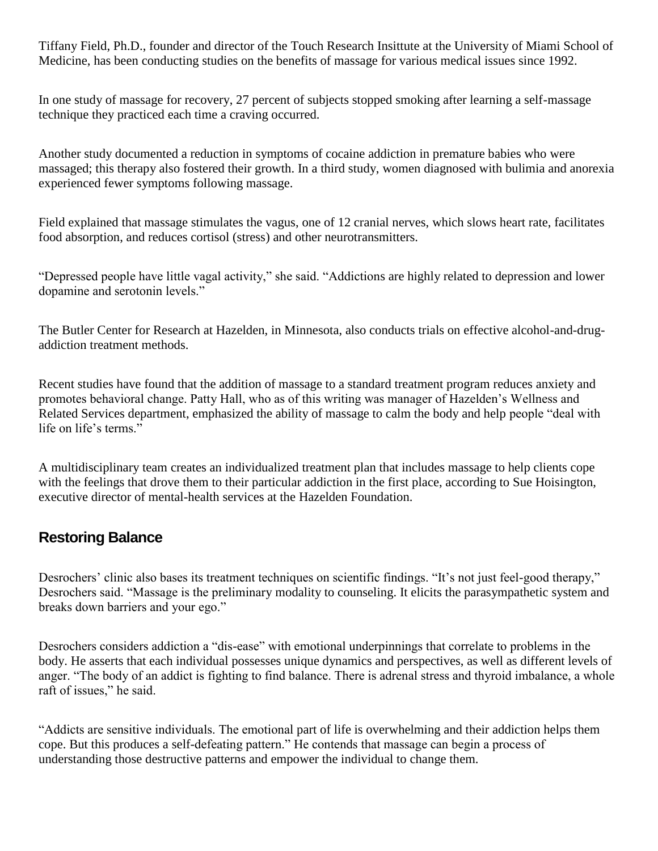Tiffany Field, Ph.D., founder and director of the Touch Research Insittute at the University of Miami School of Medicine, has been conducting studies on the benefits of massage for various medical issues since 1992.

In one study of massage for recovery, 27 percent of subjects stopped smoking after learning a self-massage technique they practiced each time a craving occurred.

Another study documented a reduction in symptoms of cocaine addiction in premature babies who were massaged; this therapy also fostered their growth. In a third study, women diagnosed with bulimia and anorexia experienced fewer symptoms following massage.

Field explained that massage stimulates the vagus, one of 12 cranial nerves, which slows heart rate, facilitates food absorption, and reduces cortisol (stress) and other neurotransmitters.

"Depressed people have little vagal activity," she said. "Addictions are highly related to depression and lower dopamine and serotonin levels."

The Butler Center for Research at Hazelden, in Minnesota, also conducts trials on effective alcohol-and-drugaddiction treatment methods.

Recent studies have found that the addition of massage to a standard treatment program reduces anxiety and promotes behavioral change. Patty Hall, who as of this writing was manager of Hazelden's Wellness and Related Services department, emphasized the ability of massage to calm the body and help people "deal with life on life's terms."

A multidisciplinary team creates an individualized treatment plan that includes massage to help clients cope with the feelings that drove them to their particular addiction in the first place, according to Sue Hoisington, executive director of mental-health services at the Hazelden Foundation.

### **Restoring Balance**

Desrochers' clinic also bases its treatment techniques on scientific findings. "It's not just feel-good therapy," Desrochers said. "Massage is the preliminary modality to counseling. It elicits the parasympathetic system and breaks down barriers and your ego."

Desrochers considers addiction a "dis-ease" with emotional underpinnings that correlate to problems in the body. He asserts that each individual possesses unique dynamics and perspectives, as well as different levels of anger. "The body of an addict is fighting to find balance. There is adrenal stress and thyroid imbalance, a whole raft of issues," he said.

"Addicts are sensitive individuals. The emotional part of life is overwhelming and their addiction helps them cope. But this produces a self-defeating pattern." He contends that massage can begin a process of understanding those destructive patterns and empower the individual to change them.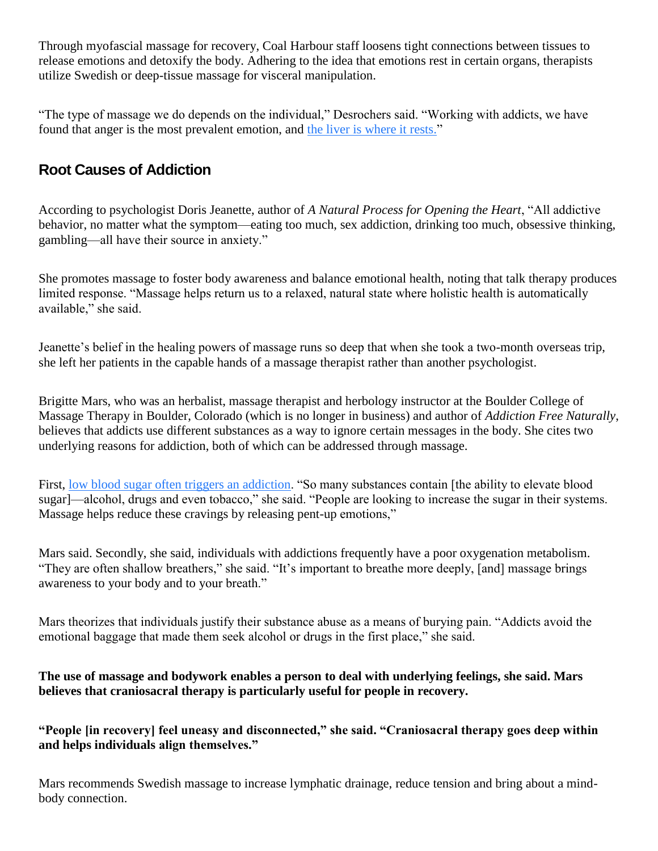Through myofascial massage for recovery, Coal Harbour staff loosens tight connections between tissues to release emotions and detoxify the body. Adhering to the idea that emotions rest in certain organs, therapists utilize Swedish or deep-tissue massage for visceral manipulation.

"The type of massage we do depends on the individual," Desrochers said. "Working with addicts, we have found that anger is the most prevalent emotion, and [the liver is where it rests."](https://www.massagemag.com/lymph-drainage-for-liver-balance-41502/)

## **Root Causes of Addiction**

According to psychologist Doris Jeanette, author of *A Natural Process for Opening the Heart*, "All addictive behavior, no matter what the symptom—eating too much, sex addiction, drinking too much, obsessive thinking, gambling—all have their source in anxiety."

She promotes massage to foster body awareness and balance emotional health, noting that talk therapy produces limited response. "Massage helps return us to a relaxed, natural state where holistic health is automatically available," she said.

Jeanette's belief in the healing powers of massage runs so deep that when she took a two-month overseas trip, she left her patients in the capable hands of a massage therapist rather than another psychologist.

Brigitte Mars, who was an herbalist, massage therapist and herbology instructor at the Boulder College of Massage Therapy in Boulder, Colorado (which is no longer in business) and author of *Addiction Free Naturally*, believes that addicts use different substances as a way to ignore certain messages in the body. She cites two underlying reasons for addiction, both of which can be addressed through massage.

First, [low blood sugar often triggers an addiction.](https://www.massagemag.com/how-to-conquer-food-cravings-for-good-42349/) "So many substances contain [the ability to elevate blood sugar]—alcohol, drugs and even tobacco," she said. "People are looking to increase the sugar in their systems. Massage helps reduce these cravings by releasing pent-up emotions,"

Mars said. Secondly, she said, individuals with addictions frequently have a poor oxygenation metabolism. "They are often shallow breathers," she said. "It's important to breathe more deeply, [and] massage brings awareness to your body and to your breath."

Mars theorizes that individuals justify their substance abuse as a means of burying pain. "Addicts avoid the emotional baggage that made them seek alcohol or drugs in the first place," she said.

#### **The use of massage and bodywork enables a person to deal with underlying feelings, she said. Mars believes that craniosacral therapy is particularly useful for people in recovery.**

**"People [in recovery] feel uneasy and disconnected," she said. "Craniosacral therapy goes deep within and helps individuals align themselves."**

Mars recommends Swedish massage to increase lymphatic drainage, reduce tension and bring about a mindbody connection.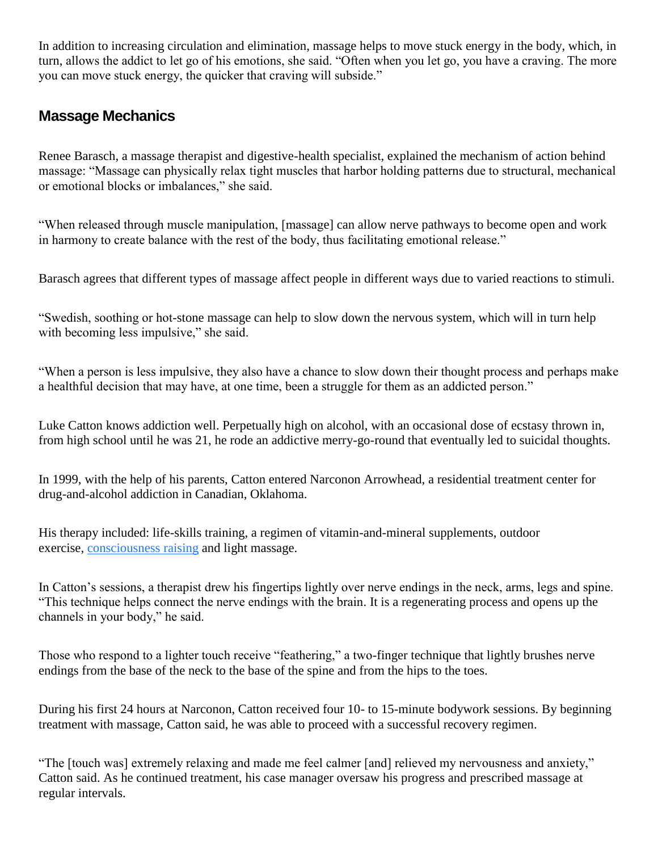In addition to increasing circulation and elimination, massage helps to move stuck energy in the body, which, in turn, allows the addict to let go of his emotions, she said. "Often when you let go, you have a craving. The more you can move stuck energy, the quicker that craving will subside."

### **Massage Mechanics**

Renee Barasch, a massage therapist and digestive-health specialist, explained the mechanism of action behind massage: "Massage can physically relax tight muscles that harbor holding patterns due to structural, mechanical or emotional blocks or imbalances," she said.

"When released through muscle manipulation, [massage] can allow nerve pathways to become open and work in harmony to create balance with the rest of the body, thus facilitating emotional release."

Barasch agrees that different types of massage affect people in different ways due to varied reactions to stimuli.

"Swedish, soothing or hot-stone massage can help to slow down the nervous system, which will in turn help with becoming less impulsive," she said.

"When a person is less impulsive, they also have a chance to slow down their thought process and perhaps make a healthful decision that may have, at one time, been a struggle for them as an addicted person."

Luke Catton knows addiction well. Perpetually high on alcohol, with an occasional dose of ecstasy thrown in, from high school until he was 21, he rode an addictive merry-go-round that eventually led to suicidal thoughts.

In 1999, with the help of his parents, Catton entered Narconon Arrowhead, a residential treatment center for drug-and-alcohol addiction in Canadian, Oklahoma.

His therapy included: life-skills training, a regimen of vitamin-and-mineral supplements, outdoor exercise, [consciousness raising](https://www.massagemag.com/interoceptive-awareness-helps-your-clients-help-themselves-40527/) and light massage.

In Catton's sessions, a therapist drew his fingertips lightly over nerve endings in the neck, arms, legs and spine. "This technique helps connect the nerve endings with the brain. It is a regenerating process and opens up the channels in your body," he said.

Those who respond to a lighter touch receive "feathering," a two-finger technique that lightly brushes nerve endings from the base of the neck to the base of the spine and from the hips to the toes.

During his first 24 hours at Narconon, Catton received four 10- to 15-minute bodywork sessions. By beginning treatment with massage, Catton said, he was able to proceed with a successful recovery regimen.

"The [touch was] extremely relaxing and made me feel calmer [and] relieved my nervousness and anxiety," Catton said. As he continued treatment, his case manager oversaw his progress and prescribed massage at regular intervals.